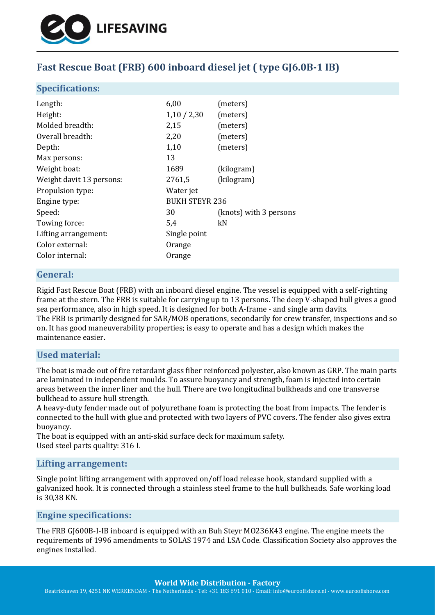

# **Fast Rescue Boat (FRB) 600 inboard diesel jet ( type GJ6.0B-1 IB)**

#### **Specifications:**

| Length:                  | 6,00                  | (meters)               |
|--------------------------|-----------------------|------------------------|
| Height:                  | 1,10/2,30             | (meters)               |
| Molded breadth:          | 2,15                  | (meters)               |
| Overall breadth:         | 2,20                  | (meters)               |
| Depth:                   | 1,10                  | (meters)               |
| Max persons:             | 13                    |                        |
| Weight boat:             | 1689                  | (kilogram)             |
| Weight davit 13 persons: | 2761,5                | (kilogram)             |
| Propulsion type:         | Water jet             |                        |
| Engine type:             | <b>BUKH STEYR 236</b> |                        |
| Speed:                   | 30                    | (knots) with 3 persons |
| Towing force:            | 5,4                   | kN                     |
| Lifting arrangement:     | Single point          |                        |
| Color external:          | Orange                |                        |
| Color internal:          | Orange                |                        |

#### **General:**

Rigid Fast Rescue Boat (FRB) with an inboard diesel engine. The vessel is equipped with a self-righting frame at the stern. The FRB is suitable for carrying up to 13 persons. The deep V-shaped hull gives a good sea performance, also in high speed. It is designed for both A-frame - and single arm davits. The FRB is primarily designed for SAR/MOB operations, secondarily for crew transfer, inspections and so on. It has good maneuverability properties; is easy to operate and has a design which makes the maintenance easier.

### **Used material:**

The boat is made out of fire retardant glass fiber reinforced polyester, also known as GRP. The main parts are laminated in independent moulds. To assure buoyancy and strength, foam is injected into certain areas between the inner liner and the hull. There are two longitudinal bulkheads and one transverse bulkhead to assure hull strength.

A heavy-duty fender made out of polyurethane foam is protecting the boat from impacts. The fender is connected to the hull with glue and protected with two layers of PVC covers. The fender also gives extra buoyancy.

The boat is equipped with an anti-skid surface deck for maximum safety. Used steel parts quality: 316 L

#### **Lifting arrangement:**

Single point lifting arrangement with approved on/off load release hook, standard supplied with a galvanized hook. It is connected through a stainless steel frame to the hull bulkheads. Safe working load is 30,38 KN.

### **Engine specifications:**

The FRB GJ600B-I-IB inboard is equipped with an Buh Steyr MO236K43 engine. The engine meets the requirements of 1996 amendments to SOLAS 1974 and LSA Code. Classification Society also approves the engines installed.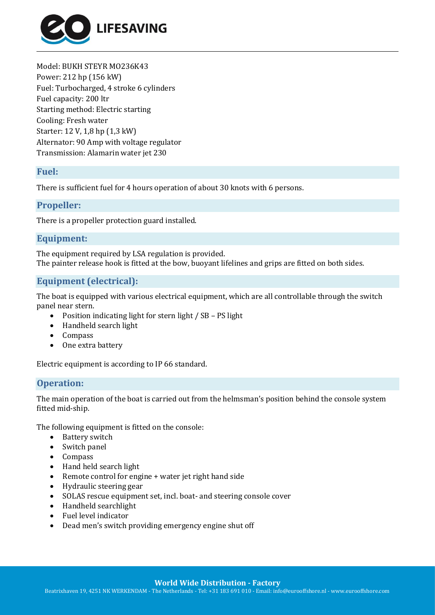

Model: BUKH STEYR MO236K43 Power: 212 hp (156 kW) Fuel: Turbocharged, 4 stroke 6 cylinders Fuel capacity: 200 ltr Starting method: Electric starting Cooling: Fresh water Starter: 12 V, 1,8 hp (1,3 kW) Alternator: 90 Amp with voltage regulator Transmission: Alamarin water jet 230

#### **Fuel:**

There is sufficient fuel for 4 hours operation of about 30 knots with 6 persons.

#### **Propeller:**

There is a propeller protection guard installed.

### **Equipment:**

The equipment required by LSA regulation is provided. The painter release hook is fitted at the bow, buoyant lifelines and grips are fitted on both sides.

### **Equipment (electrical):**

The boat is equipped with various electrical equipment, which are all controllable through the switch panel near stern.

- Position indicating light for stern light / SB PS light
- Handheld search light
- Compass
- One extra battery

Electric equipment is according to IP 66 standard.

### **Operation:**

The main operation of the boat is carried out from the helmsman's position behind the console system fitted mid-ship.

The following equipment is fitted on the console:

- Battery switch
- Switch panel
- Compass
- Hand held search light
- Remote control for engine + water jet right hand side
- Hydraulic steering gear
- SOLAS rescue equipment set, incl. boat- and steering console cover
- Handheld searchlight
- Fuel level indicator
- Dead men's switch providing emergency engine shut off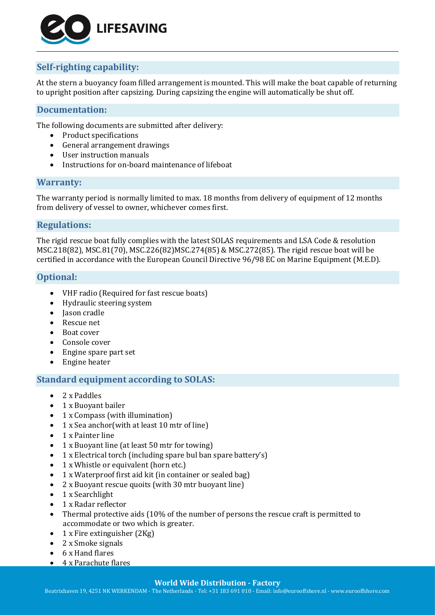

## **Self-righting capability:**

At the stern a buoyancy foam filled arrangement is mounted. This will make the boat capable of returning to upright position after capsizing. During capsizing the engine will automatically be shut off.

### **Documentation:**

The following documents are submitted after delivery:

- Product specifications
- General arrangement drawings
- User instruction manuals
- Instructions for on-board maintenance of lifeboat

#### **Warranty:**

The warranty period is normally limited to max. 18 months from delivery of equipment of 12 months from delivery of vessel to owner, whichever comes first.

### **Regulations:**

The rigid rescue boat fully complies with the latest SOLAS requirements and LSA Code & resolution MSC.218(82), MSC.81(70), MSC.226(82)MSC.274(85) & MSC.272(85). The rigid rescue boat will be certified in accordance with the European Council Directive 96/98 EC on Marine Equipment (M.E.D).

#### **Optional:**

- VHF radio (Required for fast rescue boats)
- Hydraulic steering system
- Jason cradle
- Rescue net
- Boat cover
- Console cover
- Engine spare part set
- Engine heater

### **Standard equipment according to SOLAS:**

- 2 x Paddles
- 1 x Buoyant bailer
- 1 x Compass (with illumination)
- 1 x Sea anchor(with at least 10 mtr of line)
- 1 x Painter line
- 1 x Buoyant line (at least 50 mtr for towing)
- 1 x Electrical torch (including spare bul ban spare battery's)
- 1 x Whistle or equivalent (horn etc.)
- 1 x Waterproof first aid kit (in container or sealed bag)
- 2 x Buoyant rescue quoits (with 30 mtr buoyant line)
- 1 x Searchlight
- 1 x Radar reflector
- Thermal protective aids (10% of the number of persons the rescue craft is permitted to accommodate or two which is greater.
- 1 x Fire extinguisher (2Kg)
- 2 x Smoke signals
- 6 x Hand flares
- 4 x Parachute flares

#### **World Wide Distribution - Factory**